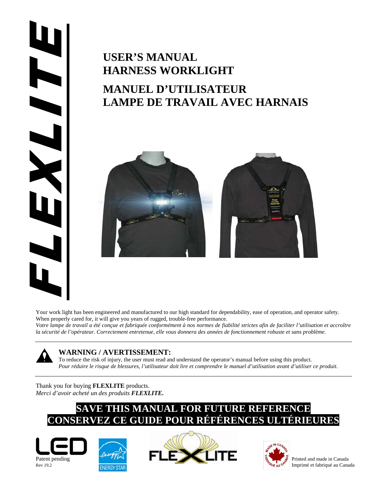# 

# **USER'S MANUAL HARNESS WORKLIGHT MANUEL D'UTILISATEUR LAMPE DE TRAVAIL AVEC HARNAIS**



Your work light has been engineered and manufactured to our high standard for dependability, ease of operation, and operator safety. When properly cared for, it will give you years of rugged, trouble-free performance.

*Votre lampe de travail a été conçue et fabriquée conformément à nos normes de fiabilité strictes afin de faciliter l'utilisation et accroître la sécurité de l'opérateur. Correctement entretenue, elle vous donnera des années de fonctionnement robuste et sans problème.* 

# **WARNING / AVERTISSEMENT:**

To reduce the risk of injury, the user must read and understand the operator's manual before using this product. *Pour réduire le risque de blessures, l'utilisateur doit lire et comprendre le manuel d'utilisation avant d'utiliser ce produit.*

# Thank you for buying **FLEXLITE** products. *Merci d'avoir acheté un des produits FLEXLITE.*

# **SAVE THIS MANUAL FOR FUTURE REFERENCE CONSERVEZ CE GUIDE POUR RÉFÉRENCES ULTÉRIEURES**







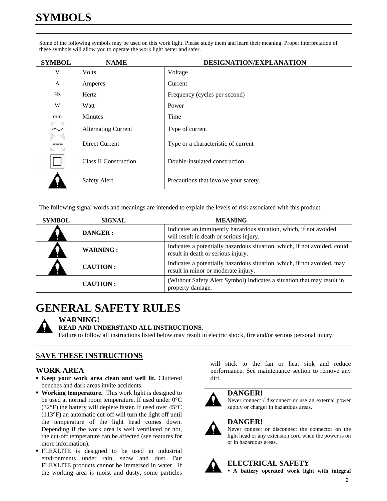Some of the following symbols may be used on this work light. Please study them and learn their meaning. Proper interpretation of these symbols will allow you to operate the work light better and safer.

| <b>SYMBOL</b> | <b>NAME</b>                  | DESIGNATION/EXPLANATION               |
|---------------|------------------------------|---------------------------------------|
| V             | <b>Volts</b>                 | Voltage                               |
| $\mathbf{A}$  | Amperes                      | Current                               |
| Hz            | Hertz                        | Frequency (cycles per second)         |
| W             | Watt                         | Power                                 |
| min           | <b>Minutes</b>               | Time                                  |
|               | <b>Alternating Current</b>   | Type of current                       |
| $= -$         | Direct Current               | Type or a characteristic of current   |
|               | <b>Class II Construction</b> | Double-insulated construction         |
|               | <b>Safety Alert</b>          | Precautions that involve your safety. |

The following signal words and meanings are intended to explain the levels of risk associated with this product.

| <b>SYMBOL</b> | <b>SIGNAL</b>   | <b>MEANING</b>                                                                                                  |  |  |  |
|---------------|-----------------|-----------------------------------------------------------------------------------------------------------------|--|--|--|
|               | <b>DANGER:</b>  | Indicates an imminently hazardous situation, which, if not avoided,<br>will result in death or serious injury.  |  |  |  |
|               | <b>WARNING:</b> | Indicates a potentially hazardous situation, which, if not avoided, could<br>result in death or serious injury. |  |  |  |
|               | <b>CAUTION:</b> | Indicates a potentially hazardous situation, which, if not avoided, may<br>result in minor or moderate injury.  |  |  |  |
|               | <b>CAUTION:</b> | (Without Safety Alert Symbol) Indicates a situation that may result in<br>property damage.                      |  |  |  |

# **GENERAL SAFETY RULES**



**WARNING!** 

# **READ AND UNDERSTAND ALL INSTRUCTIONS.**

Failure to follow all instructions listed below may result in electric shock, fire and/or serious personal injury.

# **SAVE THESE INSTRUCTIONS**

# **WORK AREA**

- **Keep your work area clean and well lit.** Cluttered benches and dark areas invite accidents.
- **Working temperature.** This work light is designed to be used at normal room temperature. If used under 0°C (32°F) the battery will deplete faster. If used over 45°C (113°F) an automatic cut-off will turn the light off until the temperature of the light head comes down. Depending if the work area is well ventilated or not, the cut-off temperature can be affected (see features for more information).
- FLEXLITE is designed to be used in industrial environments under rain, snow and dust. But FLEXLITE products cannot be immersed in water. If the working area is moist and dusty, some particles

will stick to the fan or heat sink and reduce performance. See maintenance section to remove any dirt.



# **DANGER!**

Never connect / disconnect or use an external power supply or charger in hazardous areas.

# **DANGER!**

Never connect or disconnect the connector on the light head or any extension cord when the power is on or in hazardous areas.



# **ELECTRICAL SAFETY**

**A battery operated work light with integral**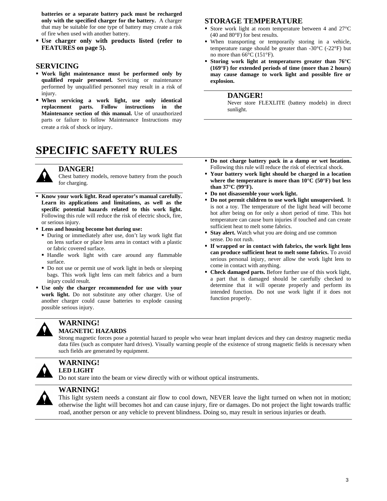**batteries or a separate battery pack must be recharged only with the specified charger for the battery.** A charger that may be suitable for one type of battery may create a risk of fire when used with another battery.

 **Use charger only with products listed (refer to FEATURES on page 5).** 

### **SERVICING**

- **Work light maintenance must be performed only by qualified repair personnel.** Servicing or maintenance performed by unqualified personnel may result in a risk of injury.
- **When servicing a work light, use only identical replacement parts. Follow instructions in the Maintenance section of this manual.** Use of unauthorized parts or failure to follow Maintenance Instructions may create a risk of shock or injury.

# **SPECIFIC SAFETY RULES**



### **DANGER!**

Chest battery models, remove battery from the pouch for charging.

- **Know your work light. Read operator's manual carefully. Learn its applications and limitations, as well as the specific potential hazards related to this work light.**  Following this rule will reduce the risk of electric shock, fire, or serious injury.
- **Lens and housing become hot during use:** 
	- During or immediately after use, don't lay work light flat on lens surface or place lens area in contact with a plastic or fabric covered surface.
	- Handle work light with care around any flammable surface.
	- Do not use or permit use of work light in beds or sleeping bags. This work light lens can melt fabrics and a burn injury could result.
- **Use only the charger recommended for use with your work light.** Do not substitute any other charger. Use of another charger could cause batteries to explode causing possible serious injury.

### **WARNING! MAGNETIC HAZARDS**

Strong magnetic forces pose a potential hazard to people who wear heart implant devices and they can destroy magnetic media data files (such as computer hard drives). Visually warning people of the existence of strong magnetic fields is necessary when such fields are generated by equipment.



# **WARNING! LED LIGHT**

Do not stare into the beam or view directly with or without optical instruments.



### **WARNING!**

This light system needs a constant air flow to cool down, NEVER leave the light turned on when not in motion; otherwise the light will becomes hot and can cause injury, fire or damages. Do not project the light towards traffic road, another person or any vehicle to prevent blindness. Doing so, may result in serious injuries or death.

### **STORAGE TEMPERATURE**

- Store work light at room temperature between 4 and 27°C (40 and 80°F) for best results.
- When transporting or temporarily storing in a vehicle, temperature range should be greater than  $-30^{\circ}$ C ( $-22^{\circ}$ F) but no more than 66°C (151°F).
- **Storing work light at temperatures greater than 76°C (169°F) for extended periods of time (more than 2 hours) may cause damage to work light and possible fire or explosion.**

### **DANGER!**

Never store FLEXLITE (battery models) in direct sunlight.

- **Do not charge battery pack in a damp or wet location.** Following this rule will reduce the risk of electrical shock.
- **Your battery work light should be charged in a location where the temperature is more than 10°C (50°F) but less than 37°C (99°F).**
- **Do not disassemble your work light.**
- **Do not permit children to use work light unsupervised.** It is not a toy. The temperature of the light head will become hot after being on for only a short period of time. This hot temperature can cause burn injuries if touched and can create sufficient heat to melt some fabrics.
- **Stay alert.** Watch what you are doing and use common sense. Do not rush.
- **If wrapped or in contact with fabrics, the work light lens can produce sufficient heat to melt some fabrics.** To avoid serious personal injury, never allow the work light lens to come in contact with anything.
- **Check damaged parts.** Before further use of this work light, a part that is damaged should be carefully checked to determine that it will operate properly and perform its intended function. Do not use work light if it does not function properly.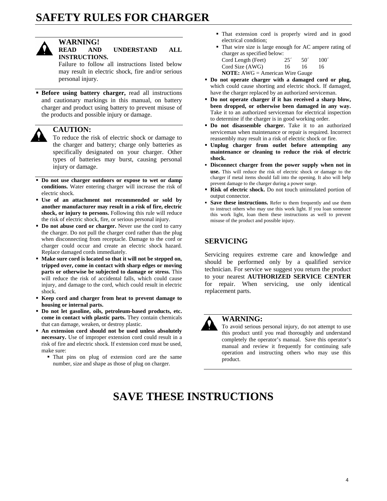# **SAFETY RULES FOR CHARGER**



# **WARNING!**

### **READ AND UNDERSTAND ALL INSTRUCTIONS.**

Failure to follow all instructions listed below may result in electric shock, fire and/or serious personal injury.

**Before using battery charger, read all instructions** and cautionary markings in this manual, on battery charger and product using battery to prevent misuse of the products and possible injury or damage.

# **CAUTION:**

To reduce the risk of electric shock or damage to the charger and battery; charge only batteries as specifically designated on your charger. Other types of batteries may burst, causing personal injury or damage.

- **Do not use charger outdoors or expose to wet or damp conditions.** Water entering charger will increase the risk of electric shock.
- **Use of an attachment not recommended or sold by another manufacturer may result in a risk of fire, electric shock, or injury to persons.** Following this rule will reduce the risk of electric shock, fire, or serious personal injury.
- **Do not abuse cord or charger.** Never use the cord to carry the charger. Do not pull the charger cord rather than the plug when disconnecting from receptacle. Damage to the cord or charger could occur and create an electric shock hazard. Replace damaged cords immediately.
- **Make sure cord is located so that it will not be stepped on, tripped over, come in contact with sharp edges or moving parts or otherwise be subjected to damage or stress.** This will reduce the risk of accidental falls, which could cause injury, and damage to the cord, which could result in electric shock.
- **Keep cord and charger from heat to prevent damage to housing or internal parts.**
- **Do not let gasoline, oils, petroleum-based products, etc. come in contact with plastic parts.** They contain chemicals that can damage, weaken, or destroy plastic.
- **An extension cord should not be used unless absolutely necessary.** Use of improper extension cord could result in a risk of fire and electric shock. If extension cord must be used, make sure:
	- That pins on plug of extension cord are the same number, size and shape as those of plug on charger.
- That extension cord is properly wired and in good electrical condition;
- That wire size is large enough for AC ampere rating of charger as specified below:  $Cord I$  ength  $(F<sub>left</sub>)$   $25'$   $50'$   $100'$

| CORE LONGER (FOOT)                     | $\sim$ | $\cdot$ | 1 VV |
|----------------------------------------|--------|---------|------|
| Cord Size (AWG)                        | 16     | 16      | 16   |
| <b>NOTE:</b> AWG = American Wire Gauge |        |         |      |

- **Do not operate charger with a damaged cord or plug,**  which could cause shorting and electric shock. If damaged, have the charger replaced by an authorized serviceman.
- **Do not operate charger if it has received a sharp blow, been dropped, or otherwise been damaged in any way.**  Take it to an authorized serviceman for electrical inspection to determine if the charger is in good working order.
- **Do not disassemble charger.** Take it to an authorized serviceman when maintenance or repair is required. Incorrect reassembly may result in a risk of electric shock or fire.
- **Unplug charger from outlet before attempting any maintenance or cleaning to reduce the risk of electric shock.**
- **Disconnect charger from the power supply when not in use.** This will reduce the risk of electric shock or damage to the charger if metal items should fall into the opening. It also will help prevent damage to the charger during a power surge.
- **Risk of electric shock.** Do not touch uninsulated portion of output connector.
- **Save these instructions.** Refer to them frequently and use them to instruct others who may use this work light. If you loan someone this work light, loan them these instructions as well to prevent misuse of the product and possible injury.

# **SERVICING**

Servicing requires extreme care and knowledge and should be performed only by a qualified service technician. For service we suggest you return the product to your nearest **AUTHORIZED SERVICE CENTER**  for repair. When servicing, use only identical replacement parts.



# **WARNING:**

To avoid serious personal injury, do not attempt to use this product until you read thoroughly and understand completely the operator's manual. Save this operator's manual and review it frequently for continuing safe operation and instructing others who may use this product.

# **SAVE THESE INSTRUCTIONS**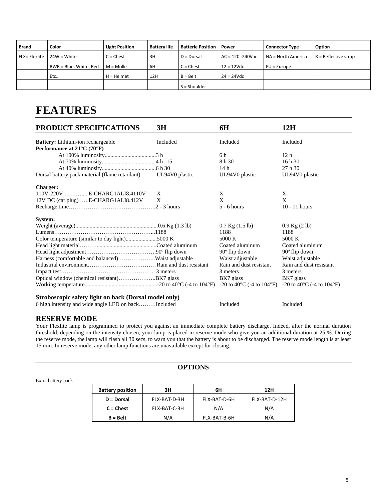| <b>Brand</b>  | Color                  | <b>Light Position</b> | <b>Battery life</b> | <b>Batterie Position</b> | Power                | <b>Connector Type</b> | Option                 |
|---------------|------------------------|-----------------------|---------------------|--------------------------|----------------------|-----------------------|------------------------|
| FLX= Flexlite | $24W = White$          | $C =$ Chest           | 3H                  | $D = Dorsal$             | $AC = 120 - 240$ Vac | NA = North America    | $R =$ Reflective strap |
|               | BWR = Blue, White, Red | $M = Molle$           | 6H                  | $C =$ Chest              | $12 = 12$ Vdc        | $EU = Europe$         |                        |
|               | Etc                    | $H = Helmet$          | 12H                 | $B = Belt$               | $24 = 24Vdc$         |                       |                        |
|               |                        |                       |                     | $S =$ Shoulder           |                      |                       |                        |

# **FEATURES**

| PRODUCT SPECIFICATIONS                                        | 3H       | 6H                                              | 12H                                                        |
|---------------------------------------------------------------|----------|-------------------------------------------------|------------------------------------------------------------|
| <b>Battery:</b> Lithium-ion rechargeable                      | Included | Included                                        | Included                                                   |
| Performance at 21°C (70°F)                                    |          |                                                 |                                                            |
|                                                               |          | 6 h                                             | 12 <sub>h</sub>                                            |
|                                                               |          | 8 h 30                                          | 16h30                                                      |
|                                                               |          | 14 h                                            | 27 h 30                                                    |
| Dorsal battery pack material (flame retardant) UL94V0 plastic |          | UL94V0 plastic                                  | UL94V0 plastic                                             |
| <b>Charger:</b>                                               |          |                                                 |                                                            |
| 110V-220V  E-CHARG1ALI8.4110V                                 | X        | X                                               | X                                                          |
| 12V DC (car plug)  E-CHARG1ALI8.412V                          | X        | X                                               | X                                                          |
|                                                               |          | $5 - 6$ hours                                   | $10 - 11$ hours                                            |
| System:                                                       |          |                                                 |                                                            |
|                                                               |          | $0.7$ Kg $(1.5$ lb)                             | $0.9$ Kg $(2 \text{ lb})$                                  |
|                                                               |          | 1188                                            | 1188                                                       |
| Color temperature (similar to day light)5000 K                |          | 5000 K                                          | 5000 K                                                     |
|                                                               |          | Coated aluminum                                 | Coated aluminum                                            |
|                                                               |          | $90^\circ$ flip down                            | $90^\circ$ flip down                                       |
| Harness (comfortable and balanced)Waist adjustable            |          | Waist adjustable                                | Waist adjustable                                           |
|                                                               |          | Rain and dust resistant                         | Rain and dust resistant                                    |
|                                                               |          | 3 meters                                        | 3 meters                                                   |
|                                                               |          | BK7 glass                                       | BK7 glass                                                  |
|                                                               |          | -20 to 40 $^{\circ}$ C (-4 to 104 $^{\circ}$ F) | $-20$ to 40 $\rm{^{\circ}C}$ (-4 to 104 $\rm{^{\circ}F}$ ) |
| Stroboscopic safety light on back (Dorsal model only)         |          |                                                 |                                                            |
| 6 high intensity and wide angle LED on backIncluded           |          | Included                                        | Included                                                   |

# **RESERVE MODE**

Your Flexlite lamp is programmed to protect you against an immediate complete battery discharge. Indeed, after the normal duration threshold, depending on the intensity chosen, your lamp is placed in reserve mode who give you an additional duration at 25 %. During the reserve mode, the lamp will flash all 30 secs, to warn you that the battery is about to be discharged. The reserve mode length is at least 15 min. In reserve mode, any other lamp functions are unavailable except for closing.

| OPTIONS |
|---------|
|---------|

| <b>Battery position</b> | ЗΗ           | 6Н           | 12H           |
|-------------------------|--------------|--------------|---------------|
| D = Dorsal              | FLX-BAT-D-3H | FLX-BAT-D-6H | FLX-BAT-D-12H |
| $C =$ Chest             | FLX-BAT-C-3H | N/A          | N/A           |
| B = Belt                | N/A          | FLX-BAT-B-6H | N/A           |

Extra battery pack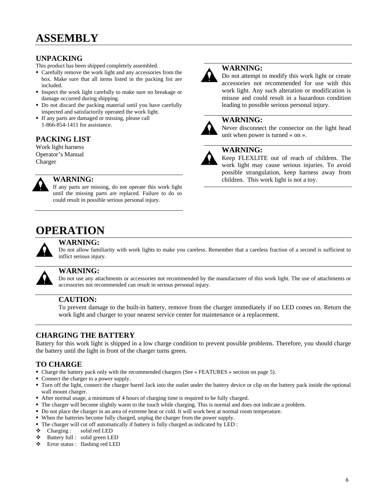# **UNPACKING**

This product has been shipped completely assembled.

- Carefully remove the work light and any accessories from the box. Make sure that all items listed in the packing list are included.
- Inspect the work light carefully to make sure no breakage or damage occurred during shipping.
- Do not discard the packing material until you have carefully inspected and satisfactorily operated the work light.
- If any parts are damaged or missing, please call 1-866-854-1411 for assistance.

# **PACKING LIST**

Work light harness Operator's Manual Charger



# **WARNING:**

If any parts are missing, do not operate this work light until the missing parts are replaced. Failure to do so could result in possible serious personal injury.



# **WARNING:**

Do not attempt to modify this work light or create accessories not recommended for use with this work light. Any such alteration or modification is misuse and could result in a hazardous condition leading to possible serious personal injury.

# **WARNING:**

Never disconnect the connector on the light head unit when power is turned « on ».

# **WARNING:**

Keep FLEXLITE out of reach of children. The work light may cause serious injuries. To avoid possible strangulation, keep harness away from children. This work light is not a toy.

# **OPERATION**



# **WARNING:**

Do not allow familiarity with work lights to make you careless. Remember that a careless fraction of a second is sufficient to inflict serious injury.



### **WARNING:**

Do not use any attachments or accessories not recommended by the manufacturer of this work light. The use of attachments or accessories not recommended can result in serious personal injury.

# **CAUTION:**

To prevent damage to the built-in battery, remove from the charger immediately if no LED comes on. Return the work light and charger to your nearest service center for maintenance or a replacement.

# **CHARGING THE BATTERY**

Battery for this work light is shipped in a low charge condition to prevent possible problems. Therefore, you should charge the battery until the light in front of the charger turns green.

# **TO CHARGE**

- Charge the battery pack only with the recommended chargers (See « FEATURES » section on page 5).
- Connect the charger to a power supply.
- Turn off the light, connect the charger barrel Jack into the outlet under the battery device or clip on the battery pack inside the optional wall mount charger.
- After normal usage, a minimum of 4 hours of charging time is required to be fully charged.
- The charger will become slightly warm to the touch while charging. This is normal and does not indicate a problem.
- Do not place the charger in an area of extreme heat or cold. It will work best at normal room temperature.
- When the batteries become fully charged, unplug the charger from the power supply.
- The charger will cut off automatically if battery is fully charged as indicated by LED :
- $\triangleleft$  Charging : solid red LED
- Battery full : solid green LED
- Error status : flashing red LED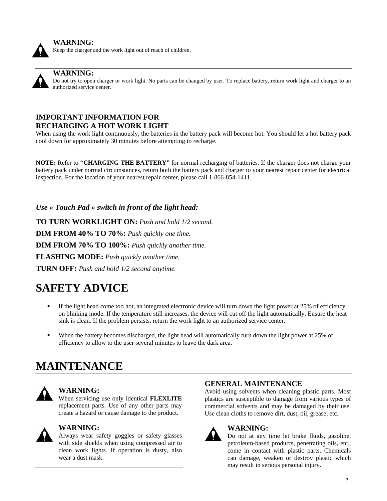

## **WARNING:**

Keep the charger and the work light out of reach of children.



# **WARNING:**

Do not try to open charger or work light. No parts can be changed by user. To replace battery, return work light and charger to an authorized service center.

# **IMPORTANT INFORMATION FOR RECHARGING A HOT WORK LIGHT**

When using the work light continuously, the batteries in the battery pack will become hot. You should let a hot battery pack cool down for approximately 30 minutes before attempting to recharge.

**NOTE:** Refer to **"CHARGING THE BATTERY"** for normal recharging of batteries. If the charger does not charge your battery pack under normal circumstances, return both the battery pack and charger to your nearest repair center for electrical inspection. For the location of your nearest repair center, please call 1-866-854-1411.

*Use « Touch Pad » switch in front of the light head:* 

**TO TURN WORKLIGHT ON:** *Push and hold 1/2 second.* **DIM FROM 40% TO 70%:** *Push quickly one time.* **DIM FROM 70% TO 100%:** *Push quickly another time.* **FLASHING MODE:** *Push quickly another time.* 

**TURN OFF:** *Push and hold 1/2 second anytime.* 

# **SAFETY ADVICE**

- If the light head come too hot, an integrated electronic device will turn down the light power at 25% of efficiency on blinking mode. If the temperature still increases, the device will cut off the light automatically. Ensure the heat sink is clean. If the problem persists, return the work light to an authorized service center.
- When the battery becomes discharged, the light head will automatically turn down the light power at 25% of efficiency to allow to the user several minutes to leave the dark area.

# **MAINTENANCE**



# **WARNING:**

When servicing use only identical **FLEXLITE**  replacement parts. Use of any other parts may create a hazard or cause damage to the product.



# **WARNING:**

Always wear safety goggles or safety glasses with side shields when using compressed air to clean work lights. If operation is dusty, also wear a dust mask.

# **GENERAL MAINTENANCE**

Avoid using solvents when cleaning plastic parts. Most plastics are susceptible to damage from various types of commercial solvents and may be damaged by their use. Use clean cloths to remove dirt, dust, oil, grease, etc.



# **WARNING:**

Do not at any time let brake fluids, gasoline, petroleum-based products, penetrating oils, etc., come in contact with plastic parts. Chemicals can damage, weaken or destroy plastic which may result in serious personal injury.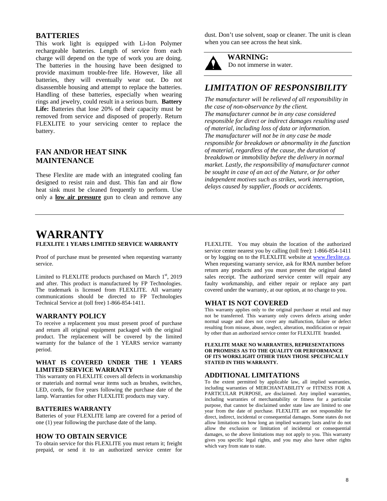# **BATTERIES**

This work light is equipped with Li-Ion Polymer rechargeable batteries. Length of service from each charge will depend on the type of work you are doing. The batteries in the housing have been designed to provide maximum trouble-free life. However, like all batteries, they will eventually wear out. Do not disassemble housing and attempt to replace the batteries. Handling of these batteries, especially when wearing rings and jewelry, could result in a serious burn. **Battery Life:** Batteries that lose 20% of their capacity must be removed from service and disposed of properly. Return FLEXLITE to your servicing center to replace the battery.

# **FAN AND/OR HEAT SINK MAINTENANCE**

These Flexlite are made with an integrated cooling fan designed to resist rain and dust. This fan and air flow heat sink must be cleaned frequently to perform. Use only a **low air pressure** gun to clean and remove any dust. Don't use solvent, soap or cleaner. The unit is clean when you can see across the heat sink.

**WARNING:**  Do not immerse in water.

# *LIMITATION OF RESPONSIBILITY*

*The manufacturer will be relieved of all responsibility in the case of non-observance by the client. The manufacturer cannot be in any case considered responsible for direct or indirect damages resulting used of material, including loss of data or information. The manufacturer will not be in any case be made responsible for breakdown or abnormality in the function of material, regardless of the cause, the duration of breakdown or immobility before the delivery in normal market. Lastly, the responsibility of manufacturer cannot be sought in case of an act of the Nature, or for other independent motives such as strikes, work interruption, delays caused by supplier, floods or accidents.* 

# **WARRANTY FLEXLITE 1 YEARS LIMITED SERVICE WARRANTY**

Proof of purchase must be presented when requesting warranty service.

Limited to FLEXLITE products purchased on March  $1<sup>st</sup>$ , 2019 and after. This product is manufactured by FP Technologies. The trademark is licensed from FLEXLITE. All warranty communications should be directed to FP Technologies Technical Service at (toll free) 1-866-854-1411.

### **WARRANTY POLICY**

To receive a replacement you must present proof of purchase and return all original equipment packaged with the original product. The replacement will be covered by the limited warranty for the balance of the 1 YEARS service warranty period.

### **WHAT IS COVERED UNDER THE 1 YEARS LIMITED SERVICE WARRANTY**

This warranty on FLEXLITE covers all defects in workmanship or materials and normal wear items such as brushes, switches, LED, cords, for five years following the purchase date of the lamp. Warranties for other FLEXLITE products may vary.

### **BATTERIES WARRANTY**

Batteries of your FLEXLITE lamp are covered for a period of one (1) year following the purchase date of the lamp.

### **HOW TO OBTAIN SERVICE**

To obtain service for this FLEXLITE you must return it; freight prepaid, or send it to an authorized service center for FLEXLITE. You may obtain the location of the authorized service center nearest you by calling (toll free): 1-866-854-1411 or by logging on to the FLEXLITE website at www.flexlite.ca. When requesting warranty service, ask for RMA number before return any products and you must present the original dated sales receipt. The authorized service center will repair any faulty workmanship, and either repair or replace any part covered under the warranty, at our option, at no charge to you.

### **WHAT IS NOT COVERED**

This warranty applies only to the original purchaser at retail and may not be transferred. This warranty only covers defects arising under normal usage and does not cover any malfunction, failure or defect resulting from misuse, abuse, neglect, alteration, modification or repair by other than an authorized service center for FLEXLITE branded.

### **FLEXLITE MAKE NO WARRANTIES, REPRESENTATIONS OR PROMISES AS TO THE QUALITY OR PERFORMANCE OF ITS WORKLIGHT OTHER THAN THOSE SPECIFICALLY STATED IN THIS WARRANTY.**

### **ADDITIONAL LIMITATIONS**

To the extent permitted by applicable law, all implied warranties, including warranties of MERCHANTABILITY or FITNESS FOR A PARTICULAR PURPOSE, are disclaimed. Any implied warranties, including warranties of merchantability or fitness for a particular purpose, that cannot be disclaimed under state law are limited to one year from the date of purchase. FLEXLITE are not responsible for direct, indirect, incidental or consequential damages. Some states do not allow limitations on how long an implied warranty lasts and/or do not allow the exclusion or limitation of incidental or consequential damages, so the above limitations may not apply to you. This warranty gives you specific legal rights, and you may also have other rights which vary from state to state.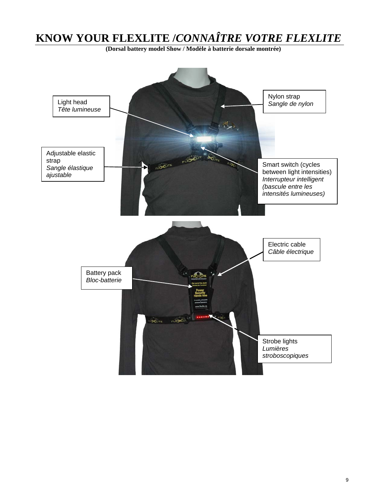# **KNOW YOUR FLEXLITE /***CONNAÎTRE VOTRE FLEXLITE*

**(Dorsal battery model Show / Modèle à batterie dorsale montrée)** 

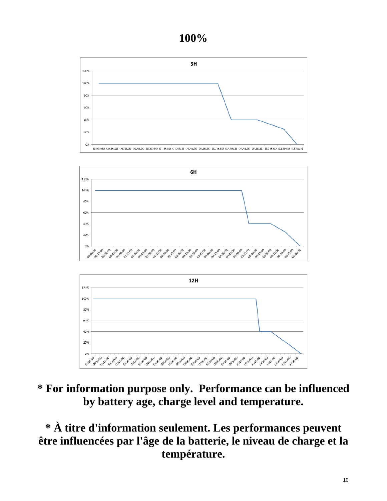# **100%**







# **\* For information purpose only. Performance can be influenced by battery age, charge level and temperature.**

**\* À titre d'information seulement. Les performances peuvent être influencées par l'âge de la batterie, le niveau de charge et la température.**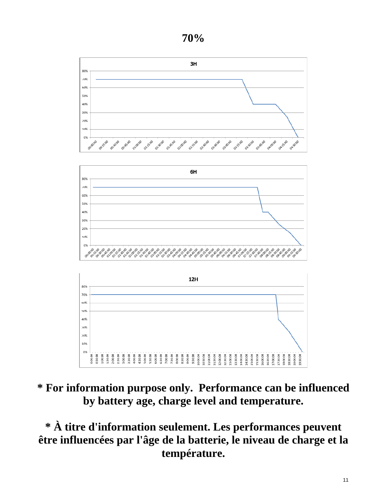**70%** 



# **\* For information purpose only. Performance can be influenced by battery age, charge level and temperature.**

**\* À titre d'information seulement. Les performances peuvent être influencées par l'âge de la batterie, le niveau de charge et la température.**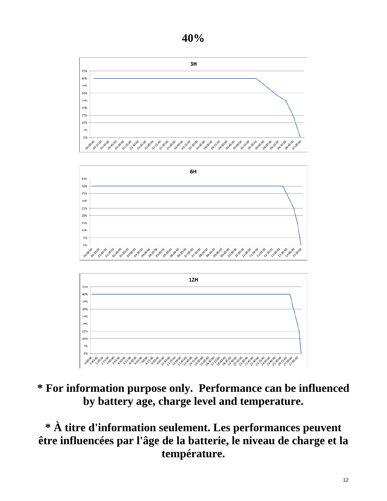





# **\* For information purpose only. Performance can be influenced by battery age, charge level and temperature.**

**\* À titre d'information seulement. Les performances peuvent être influencées par l'âge de la batterie, le niveau de charge et la température.**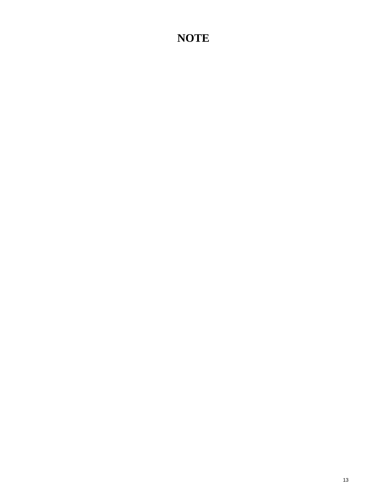# **NOTE**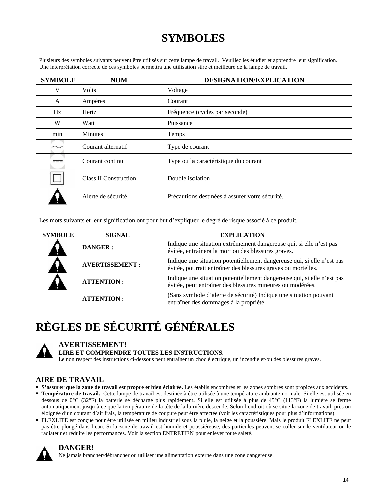# **SYMBOLES**

Plusieurs des symboles suivants peuvent être utilisés sur cette lampe de travail. Veuillez les étudier et apprendre leur signification. Une interprétation correcte de ces symboles permettra une utilisation sûre et meilleure de la lampe de travail.

| <b>SYMBOLE</b> | <b>NOM</b>                   | DESIGNATION/EXPLICATION                         |  |  |
|----------------|------------------------------|-------------------------------------------------|--|--|
| V              | <b>Volts</b>                 | Voltage                                         |  |  |
| A              | Ampères                      | Courant                                         |  |  |
| Hz             | Hertz                        | Fréquence (cycles par seconde)                  |  |  |
| W              | Watt                         | Puissance                                       |  |  |
| min            | <b>Minutes</b>               | Temps                                           |  |  |
|                | Courant alternatif           | Type de courant                                 |  |  |
| ===            | Courant continu              | Type ou la caractéristique du courant           |  |  |
|                | <b>Class II Construction</b> | Double isolation                                |  |  |
|                | Alerte de sécurité           | Précautions destinées à assurer votre sécurité. |  |  |

Les mots suivants et leur signification ont pour but d'expliquer le degré de risque associé à ce produit.

| <b>SYMBOLE</b> | <b>SIGNAL</b>         | <b>EXPLICATION</b>                                                                                                                       |  |
|----------------|-----------------------|------------------------------------------------------------------------------------------------------------------------------------------|--|
|                | <b>DANGER:</b>        | Indique une situation extrêmement dangereuse qui, si elle n'est pas<br>évitée, entraînera la mort ou des blessures graves.               |  |
|                | <b>AVERTISSEMENT:</b> | Indique une situation potentiellement dangereuse qui, si elle n'est pas<br>évitée, pourrait entraîner des blessures graves ou mortelles. |  |
|                | <b>ATTENTION:</b>     | Indique une situation potentiellement dangereuse qui, si elle n'est pas<br>évitée, peut entraîner des blessures mineures ou modérées.    |  |
|                | <b>ATTENTION:</b>     | (Sans symbole d'alerte de sécurité) Indique une situation pouvant<br>entraîner des dommages à la propriété.                              |  |

# **RÈGLES DE SÉCURITÉ GÉNÉRALES**



# **AVERTISSEMENT!**

# **LIRE ET COMPRENDRE TOUTES LES INSTRUCTIONS.**

Le non respect des instructions ci-dessous peut entraîner un choc électrique, un incendie et/ou des blessures graves.

# **AIRE DE TRAVAIL**

- **S'assurer que la zone de travail est propre et bien éclairée.** Les établis encombrés et les zones sombres sont propices aux accidents.
- **Température de travail.** Cette lampe de travail est destinée à être utilisée à une température ambiante normale. Si elle est utilisée en dessous de 0°C (32°F) la batterie se décharge plus rapidement. Si elle est utilisée à plus de 45°C (113°F) la lumière se ferme automatiquement jusqu'à ce que la température de la tête de la lumière descende. Selon l'endroit où se situe la zone de travail, près ou éloignée d'un courant d'air frais, la température de coupure peut être affectée (voir les caractéristiques pour plus d'informations).
- FLEXLITE est conçue pour être utilisée en milieu industriel sous la pluie, la neige et la poussière. Mais le produit FLEXLITE ne peut pas être plongé dans l'eau. Si la zone de travail est humide et poussiéreuse, des particules peuvent se coller sur le ventilateur ou le radiateur et réduire les performances. Voir la section ENTRETIEN pour enlever toute saleté.



# **DANGER!**

Ne jamais brancher/débrancher ou utiliser une alimentation externe dans une zone dangereuse.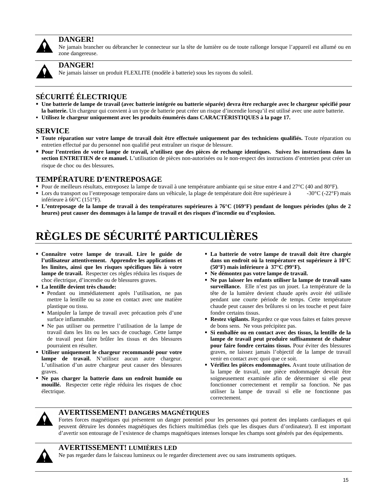

# **DANGER!**

Ne jamais brancher ou débrancher le connecteur sur la tête de lumière ou de toute rallonge lorsque l'appareil est allumé ou en zone dangereuse.



# **DANGER!**

Ne jamais laisser un produit FLEXLITE (modèle à batterie) sous les rayons du soleil.

# **SÉCURITÉ ÉLECTRIQUE**

- **Une batterie de lampe de travail (avec batterie intégrée ou batterie séparée) devra être rechargée avec le chargeur spécifié pour**  la batterie. Un chargeur qui convient à un type de batterie peut créer un risque d'incendie lorsqu'il est utilisé avec une autre batterie.
- **Utilisez le chargeur uniquement avec les produits énumérés dans CARACTÉRISTIQUES à la page 17.**

# **SERVICE**

- **Toute réparation sur votre lampe de travail doit être effectuée uniquement par des techniciens qualifiés.** Toute réparation ou entretien effectué par du personnel non qualifié peut entraîner un risque de blessure.
- **Pour l'entretien de votre lampe de travail, n'utilisez que des pièces de rechange identiques. Suivez les instructions dans la section ENTRETIEN de ce manuel.** L'utilisation de pièces non-autorisées ou le non-respect des instructions d'entretien peut créer un risque de choc ou des blessures.

# **TEMPÉRATURE D'ENTREPOSAGE**

- Pour de meilleurs résultats, entreposez la lampe de travail à une température ambiante qui se situe entre 4 and 27°C (40 and 80°F).
- Lors du transport ou l'entreposage temporaire dans un véhicule, la plage de température doit être supérieure à  $-30^{\circ}C$  (-22°F) mais inférieure à 66°C (151°F).
- **L'entreposage de la lampe de travail à des températures supérieures à 76°C (169°F) pendant de longues périodes (plus de 2 heures) peut causer des dommages à la lampe de travail et des risques d'incendie ou d'explosion.**

# **RÈGLES DE SÉCURITÉ PARTICULIÈRES**

- **Connaître votre lampe de travail. Lire le guide de l'utilisateur attentivement. Apprendre les applications et les limites, ainsi que les risques spécifiques liés à votre lampe de travail.** Respecter ces règles réduira les risques de choc électrique, d'incendie ou de blessures graves.
- **La lentille devient très chaude:** 
	- Pendant ou immédiatement après l'utilisation, ne pas mettre la lentille ou sa zone en contact avec une matière plastique ou tissu.
	- Manipuler la lampe de travail avec précaution près d'une surface inflammable.
	- Ne pas utiliser ou permettre l'utilisation de la lampe de travail dans les lits ou les sacs de couchage. Cette lampe de travail peut faire brûler les tissus et des blessures pourraient en résulter.
- **Utiliser uniquement le chargeur recommandé pour votre lampe de travail.** N'utilisez aucun autre chargeur. L'utilisation d'un autre chargeur peut causer des blessures graves.
- **Ne pas charger la batterie dans un endroit humide ou mouillé.** Respecter cette règle réduira les risques de choc électrique.
- **La batterie de votre lampe de travail doit être chargée dans un endroit où la température est supérieure à 10°C (50°F) mais inférieure à 37°C (99°F).**
- **Ne démontez pas votre lampe de travail.**
- **Ne pas laisser les enfants utiliser la lampe de travail sans surveillance.** Elle n'est pas un jouet. La température de la tête de la lumière devient chaude après avoir été utilisée pendant une courte période de temps. Cette température chaude peut causer des brûlures si on les touche et peut faire fondre certains tissus.
- **Restez vigilants.** Regardez ce que vous faites et faites preuve de bons sens. Ne vous précipitez pas.
- **Si emballée ou en contact avec des tissus, la lentille de la lampe de travail peut produire suffisamment de chaleur pour faire fondre certains tissus.** Pour éviter des blessures graves, ne laissez jamais l'objectif de la lampe de travail venir en contact avec quoi que ce soit.
- **Vérifiez les pièces endommagées.** Avant toute utilisation de la lampe de travail, une pièce endommagée devrait être soigneusement examinée afin de déterminer si elle peut fonctionner correctement et remplir sa fonction. Ne pas utiliser la lampe de travail si elle ne fonctionne pas correctement.



# **AVERTISSEMENT! DANGERS MAGNÉTIQUES**

Fortes forces magnétiques qui présentent un danger potentiel pour les personnes qui portent des implants cardiaques et qui peuvent détruire les données magnétiques des fichiers multimédias (tels que les disques durs d'ordinateur). Il est important d'avertir son entourage de l'existence de champs magnétiques intenses lorsque les champs sont générés par des équipements.



# **AVERTISSEMENT! LUMIÈRES LED**

Ne pas regarder dans le faisceau lumineux ou le regarder directement avec ou sans instruments optiques.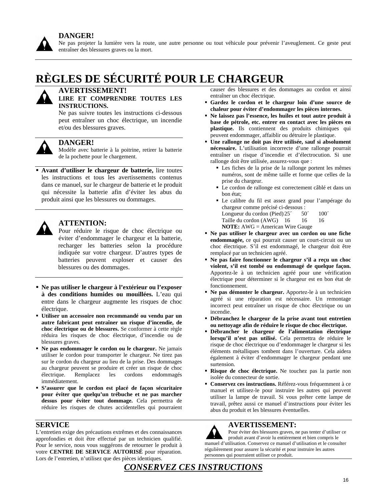

Ne pas projeter la lumière vers la route, une autre personne ou tout véhicule pour prévenir l'aveuglement. Ce geste peut entraîner des blessures graves ou la mort.

# **RÈGLES DE SÉCURITÉ POUR LE CHARGEUR**



# **AVERTISSEMENT!**

# **LIRE ET COMPRENDRE TOUTES LES INSTRUCTIONS.**

Ne pas suivre toutes les instructions ci-dessous peut entraîner un choc électrique, un incendie et/ou des blessures graves.



# **DANGER!**

Modèle avec batterie à la poitrine, retirer la batterie de la pochette pour le chargement.

 **Avant d'utiliser le chargeur de batterie,** lire toutes les instructions et tous les avertissements contenus dans ce manuel, sur le chargeur de batterie et le produit qui nécessite la batterie afin d'éviter les abus du produit ainsi que les blessures ou dommages.



# **ATTENTION:**

Pour réduire le risque de choc électrique ou éviter d'endommager le chargeur et la batterie, recharger les batteries selon la procédure indiquée sur votre chargeur. D'autres types de batteries peuvent exploser et causer des blessures ou des dommages.

- **Ne pas utiliser le chargeur à l'extérieur ou l'exposer à des conditions humides ou mouillées.** L'eau qui entre dans le chargeur augmente les risques de choc électrique.
- **Utiliser un accessoire non recommandé ou vendu par un autre fabricant peut entraîner un risque d'incendie, de choc électrique ou de blessures.** Se conformer à cette règle réduira les risques de choc électrique, d'incendie ou de blessures graves.
- **Ne pas endommager le cordon ou le chargeur.** Ne jamais utiliser le cordon pour transporter le chargeur. Ne tirez pas sur le cordon du chargeur au lieu de la prise. Des dommages au chargeur peuvent se produire et créer un risque de choc électrique. Remplacez les cordons endommagés immédiatement.
- **S'assurer que le cordon est placé de façon sécuritaire pour éviter que quelqu'un trébuche et ne pas marcher dessus pour éviter tout dommage.** Cela permettra de réduire les risques de chutes accidentelles qui pourraient

# **SERVICE**

L'entretien exige des précautions extrêmes et des connaissances approfondies et doit être effectué par un technicien qualifié. Pour le service, nous vous suggérons de retourner le produit à votre **CENTRE DE SERVICE AUTORISÉ** pour réparation. Lors de l'entretien, n'utilisez que des pièces identiques.

causer des blessures et des dommages au cordon et ainsi entraîner un choc électrique.

- **Gardez le cordon et le chargeur loin d'une source de chaleur pour éviter d'endommager les pièces internes.**
- **Ne laissez pas l'essence, les huiles et tout autre produit à base de pétrole, etc. entrer en contact avec les pièces en plastique.** Ils contiennent des produits chimiques qui peuvent endommager, affaiblir ou détruire le plastique.
- **Une rallonge ne doit pas être utilisée, sauf si absolument nécessaire.** L'utilisation incorrecte d'une rallonge pourrait entraîner un risque d'incendie et d'électrocution. Si une rallonge doit être utilisée, assurez-vous que :
	- Les fiches de la prise de la rallonge portent les mêmes numéros, sont de même taille et forme que celles de la prise du chargeur.
	- Le cordon de rallonge est correctement câblé et dans un bon état;
	- Le calibre du fil est assez grand pour l'ampérage du chargeur comme précisé ci-dessous : Longueur du cordon (Pied)  $25'$  50<sup> $\degree$ </sup> 100<sup> $\degree$ </sup> Taille du cordon (AWG) 16 16 16 **NOTE:** AWG = American Wire Gauge
- **Ne pas utiliser le chargeur avec un cordon ou une fiche endommagée,** ce qui pourrait causer un court-circuit ou un choc électrique. S'il est endommagé, le chargeur doit être remplacé par un technicien agréé.
- **Ne pas faire fonctionner le chargeur s'il a reçu un choc violent, s'il est tombé ou endommagé de quelque façon.**  Apportez-le à un technicien agréé pour une vérification électrique pour déterminer si le chargeur est en bon état de fonctionnement.
- **Ne pas démonter le chargeur.** Apportez-le à un technicien agréé si une réparation est nécessaire. Un remontage incorrect peut entraîner un risque de choc électrique ou un incendie.
- **Débranchez le chargeur de la prise avant tout entretien ou nettoyage afin de réduire le risque de choc électrique.**
- **Débrancher le chargeur de l'alimentation électrique lorsqu'il n'est pas utilisé.** Cela permettra de réduire le risque de choc électrique ou d'endommager le chargeur si les éléments métalliques tombent dans l'ouverture. Cela aidera également à éviter d'endommager le chargeur pendant une surtension.
- **Risque de choc électrique.** Ne touchez pas la partie non isolée du connecteur de sortie.
- **Conservez ces instructions.** Référez-vous fréquemment à ce manuel et utilisez-le pour instruire les autres qui peuvent utiliser la lampe de travail. Si vous prêter cette lampe de travail, prêtez aussi ce manuel d'instructions pour éviter les abus du produit et les blessures éventuelles.

# **AVERTISSEMENT:**

Pour éviter des blessures graves, ne pas tenter d'utiliser ce produit avant d'avoir lu entièrement et bien compris le manuel d'utilisation. Conservez ce manuel d'utilisation et le consulter régulièrement pour assurer la sécurité et pour instruire les autres personnes qui pourraient utiliser ce produit.

# *CONSERVEZ CES INSTRUCTIONS*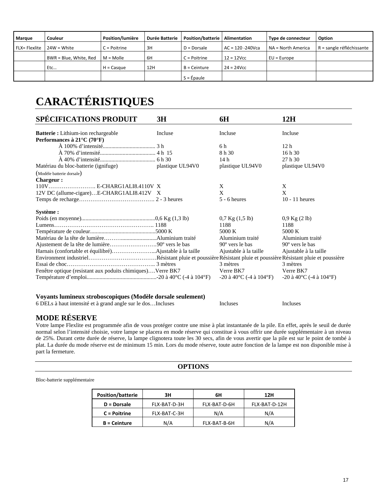| Marque        | Couleur                | Position/lumière | <b>Durée Batterie</b> | <b>Position/batterie</b> | Alimentation        | Type de connecteur | Option                    |
|---------------|------------------------|------------------|-----------------------|--------------------------|---------------------|--------------------|---------------------------|
|               |                        |                  |                       |                          |                     |                    |                           |
| FLX= Flexlite | $24W = White$          | C = Poitrine     | 3H                    | $D = Dorcale$            | $AC = 120 - 240Vca$ | NA = North America | R = sangle réfléchissante |
|               | BWR = Blue, White, Red | $M =$ Molle      | 6H                    | $C =$ Poitrine           | $12 = 12$ Vcc       | $EU = Europe$      |                           |
|               | Etc                    | $H =$ Casque     | 12H                   | B = Ceinture             | $24 = 24$ Vcc       |                    |                           |
|               |                        |                  |                       | $S = Épaule$             |                     |                    |                           |

# **CARACTÉRISTIQUES**

| <b>SPÉCIFICATIONS PRODUIT</b>                                               | 3H               | 6H                                               | 12H                                              |
|-----------------------------------------------------------------------------|------------------|--------------------------------------------------|--------------------------------------------------|
| Batterie : Lithium-ion rechargeable<br>Performances à $21^{\circ}$ C (70°F) | Incluse          | Incluse                                          | Incluse                                          |
|                                                                             |                  | 6 h                                              | 12 <sub>h</sub>                                  |
|                                                                             |                  | 8 h 30                                           | 16h30                                            |
|                                                                             |                  | 14h                                              | 27h30                                            |
| Matériau du bloc-batterie (ignifuge)                                        | plastique UL94V0 | plastique UL94V0                                 | plastique UL94V0                                 |
| (Modèle batterie dorsale)                                                   |                  |                                                  |                                                  |
| <b>Chargeur:</b>                                                            |                  |                                                  |                                                  |
| 110V E-CHARG1ALI8.4110V X                                                   |                  | X                                                | X                                                |
| 12V DC (allume-cigare)E-CHARG1ALI8.412V X                                   |                  | X                                                | X                                                |
|                                                                             |                  | $5 - 6$ heures                                   | $10 - 11$ heures                                 |
| Système :                                                                   |                  |                                                  |                                                  |
|                                                                             |                  | $0.7$ Kg $(1.5$ lb)                              | $0.9$ Kg $(2 \text{ lb})$                        |
|                                                                             |                  | 1188                                             | 1188                                             |
|                                                                             |                  | 5000 K                                           | 5000 K                                           |
|                                                                             |                  | Aluminium traité                                 | Aluminium traité                                 |
| Ajustement de la tête de lumière90° vers le bas                             |                  | $90^{\circ}$ vers le bas                         | $90^{\circ}$ vers le bas                         |
|                                                                             |                  | Ajustable à la taille                            | Ajustable à la taille                            |
|                                                                             |                  |                                                  |                                                  |
|                                                                             |                  | 3 mètres                                         | 3 mètres                                         |
| Fenêtre optique (resistant aux poduits chimiques)Verre BK7                  |                  | Verre BK7                                        | Verre BK7                                        |
|                                                                             |                  | $-20$ à $40^{\circ}$ C ( $-4$ à $104^{\circ}$ F) | $-20$ à $40^{\circ}$ C ( $-4$ à $104^{\circ}$ F) |

## **Voyants lumineux stroboscopiques (Modèle dorsale seulement)**

6 DELs à haut intensité et à grand angle sur le dos…Incluses Incluses Incluses

# **MODE RÉSERVE**

Votre lampe Flexlite est programmée afin de vous protéger contre une mise à plat instantanée de la pile. En effet, après le seuil de durée normal selon l'intensité choisie, votre lampe se placera en mode réserve qui constitue à vous offrir une durée supplémentaire à un niveau de 25%. Durant cette durée de réserve, la lampe clignotera toute les 30 secs, afin de vous avertir que la pile est sur le point de tombé à plat. La durée du mode réserve est de minimum 15 min. Lors du mode réserve, toute autre fonction de la lampe est non disponible mise à part la fermeture.

### **OPTIONS**

Bloc-batterie supplémentaire

| <b>Position/batterie</b> | 3H           | 6Н           | 12H           |
|--------------------------|--------------|--------------|---------------|
| D = Dorsale              | FLX-BAT-D-3H | FLX-BAT-D-6H | FLX-BAT-D-12H |
| C = Poitrine             | FLX-BAT-C-3H | N/A          | N/A           |
| <b>B</b> = Ceinture      | N/A          | FLX-BAT-B-6H | N/A           |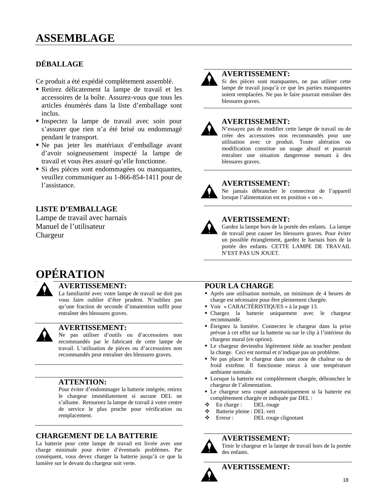# **DÉBALLAGE**

Ce produit a été expédié complètement assemblé.

- Retirez délicatement la lampe de travail et les accessoires de la boîte. Assurez-vous que tous les articles énumérés dans la liste d'emballage sont inclus.
- Inspectez la lampe de travail avec soin pour s'assurer que rien n'a été brisé ou endommagé pendant le transport.
- Ne pas jeter les matériaux d'emballage avant d'avoir soigneusement inspecté la lampe de travail et vous êtes assuré qu'elle fonctionne.
- Si des pièces sont endommagées ou manquantes, veuillez communiquer au 1-866-854-1411 pour de l'assistance.

# **LISTE D'EMBALLAGE**

Lampe de travail avec harnais Manuel de l'utilisateur Chargeur



# **AVERTISSEMENT:**

Si des pièces sont manquantes, ne pas utiliser cette lampe de travail jusqu'à ce que les parties manquantes soient remplacées. Ne pas le faire pourrait entraîner des blessures graves.

# **AVERTISSEMENT:**

N'essayez pas de modifier cette lampe de travail ou de créer des accessoires non recommandés pour une utilisation avec ce produit. Toute altération ou modification constitue un usage abusif et pourrait entraîner une situation dangereuse menant à des blessures graves.



# **AVERTISSEMENT:**

Ne jamais débrancher le connecteur de l'appareil lorsque l'alimentation est en position « on ».



# **AVERTISSEMENT:**

Gardez la lampe hors de la portée des enfants. La lampe de travail peut causer les blessures graves. Pour éviter un possible étranglement, gardez le harnais hors de la portée des enfants. CETTE LAMPE DE TRAVAIL N'EST PAS UN JOUET.

# **OPÉRATION**



# **AVERTISSEMENT:**

La familiarité avec votre lampe de travail ne doit pas vous faire oublier d'être prudent. N'oubliez pas qu'une fraction de seconde d'innatention suffit pour entraîner des blessures graves.



# **AVERTISSEMENT:**

Ne pas utiliser d'outils ou d'accessoires non recommandés par le fabricant de cette lampe de travail. L'utilisation de pièces ou d'accessoires non recommandés peut entraîner des blessures graves.

# **ATTENTION:**

Pour éviter d'endommager la batterie intégrée, retirez le chargeur immédiatement si aucune DEL ne s'allume. Retournez la lampe de travail à votre centre de service le plus proche pour vérification ou remplacement.

# **CHARGEMENT DE LA BATTERIE**

La batterie pour cette lampe de travail est livrée avec une charge minimale pour éviter d'éventuels problèmes. Par conséquent, vous devez charger la batterie jusqu'à ce que la lumière sur le devant du chargeur soit verte.

# **POUR LA CHARGE**

- Après une utilisation normale, un minimum de 4 heures de charge est nécessaire pour être pleinement chargée.
- Voir « CARACTÉRISTIQUES » à la page 13.
- Chargez la batterie uniquement avec le chargeur recommandé.
- Éteignez la lumière. Connectez le chargeur dans la prise prévue à cet effet sur la batterie ou sur le clip à l'intérieur du chargeur mural (en option).
- Le chargeur deviendra légèrement tiède au toucher pendant la charge. Ceci est normal et n'indique pas un problème.
- Ne pas placer le chargeur dans une zone de chaleur ou de froid extrême. Il fonctionne mieux à une température ambiante normale.
- Lorsque la batterie est complètement chargée, débranchez le chargeur de l'alimentation.
- Le chargeur sera coupé automatiquement si la batterie est complètement chargée et indiquée par DEL :
- $\div$  En charge : DEL rouge
- Batterie pleine : DEL vert
- Erreur : DEL rouge clignotant

# **AVERTISSEMENT:**



Tenir le chargeur et la lampe de travail hors de la portée des enfants.

# **AVERTISSEMENT:**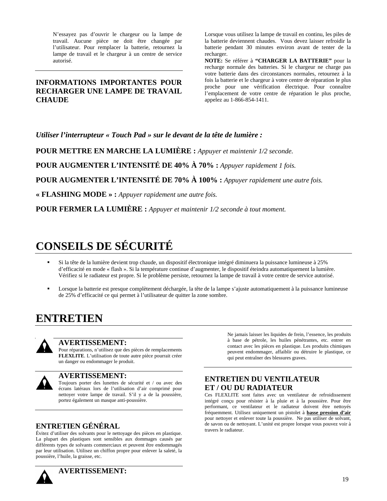N'essayez pas d'ouvrir le chargeur ou la lampe de travail. Aucune pièce ne doit être changée par l'utilisateur. Pour remplacer la batterie, retournez la lampe de travail et le chargeur à un centre de service autorisé.

# **INFORMATIONS IMPORTANTES POUR RECHARGER UNE LAMPE DE TRAVAIL CHAUDE**

Lorsque vous utilisez la lampe de travail en continu, les piles de la batterie deviennent chaudes. Vous devez laisser refroidir la batterie pendant 30 minutes environ avant de tenter de la recharger.

**NOTE:** Se référer à **"CHARGER LA BATTERIE"** pour la recharge normale des batteries. Si le chargeur ne charge pas votre batterie dans des circonstances normales, retournez à la fois la batterie et le chargeur à votre centre de réparation le plus proche pour une vérification électrique. Pour connaître l'emplacement de votre centre de réparation le plus proche, appelez au 1-866-854-1411.

*Utiliser l'interrupteur « Touch Pad » sur le devant de la tête de lumière :* 

**POUR METTRE EN MARCHE LA LUMIÈRE :** *Appuyer et maintenir 1/2 seconde.* 

POUR AUGMENTER L'INTENSITÉ DE 40% À 70% : *Appuyer rapidement 1 fois.* 

**POUR AUGMENTER L'INTENSITÉ DE 70% À 100% :** *Appuyer rapidement une autre fois.* 

**« FLASHING MODE » :** *Appuyer rapidement une autre fois.* 

**POUR FERMER LA LUMIÈRE :** *Appuyer et maintenir 1/2 seconde à tout moment.* 

# **CONSEILS DE SÉCURITÉ**

- Si la tête de la lumière devient trop chaude, un dispositif électronique intégré diminuera la puissance lumineuse à 25% d'efficacité en mode « flash ». Si la température continue d'augmenter, le dispositif éteindra automatiquement la lumière. Vérifiez si le radiateur est propre. Si le problème persiste, retournez la lampe de travail à votre centre de service autorisé.
- Lorsque la batterie est presque complètement déchargée, la tête de la lampe s'ajuste automatiquement à la puissance lumineuse de 25% d'efficacité ce qui permet à l'utilisateur de quitter la zone sombre.

# **ENTRETIEN**



# **AVERTISSEMENT:**

Pour réparations, n'utilisez que des pièces de remplacements **FLEXLITE**. L'utilisation de toute autre pièce pourrait créer un danger ou endommager le produit.



# **AVERTISSEMENT:**

Toujours porter des lunettes de sécurité et / ou avec des écrans latéraux lors de l'utilisation d'air comprimé pour nettoyer votre lampe de travail. S'il y a de la poussière, portez également un masque anti-poussière.

# **ENTRETIEN GÉNÉRAL**

Évitez d'utiliser des solvants pour le nettoyage des pièces en plastique. La plupart des plastiques sont sensibles aux dommages causés par différents types de solvants commerciaux et peuvent être endommagés par leur utilisation. Utilisez un chiffon propre pour enlever la saleté, la poussière, l'huile, la graisse, etc.

Ne jamais laisser les liquides de frein, l'essence, les produits à base de pétrole, les huiles pénétrantes, etc. entrer en contact avec les pièces en plastique. Les produits chimiques peuvent endommager, affaiblir ou détruire le plastique, ce qui peut entraîner des blessures graves.

# **ENTRETIEN DU VENTILATEUR ET / OU DU RADIATEUR**

Ces FLEXLITE sont faites avec un ventilateur de refroidissement intégré conçu pour résister à la pluie et à la poussière. Pour être performant, ce ventilateur et le radiateur doivent être nettoyés fréquemment. Utilisez uniquement un pistolet à **basse pression d'air** pour nettoyer et enlever toute la poussière. Ne pas utiliser de solvant, de savon ou de nettoyant. L'unité est propre lorsque vous pouvez voir à travers le radiateur.